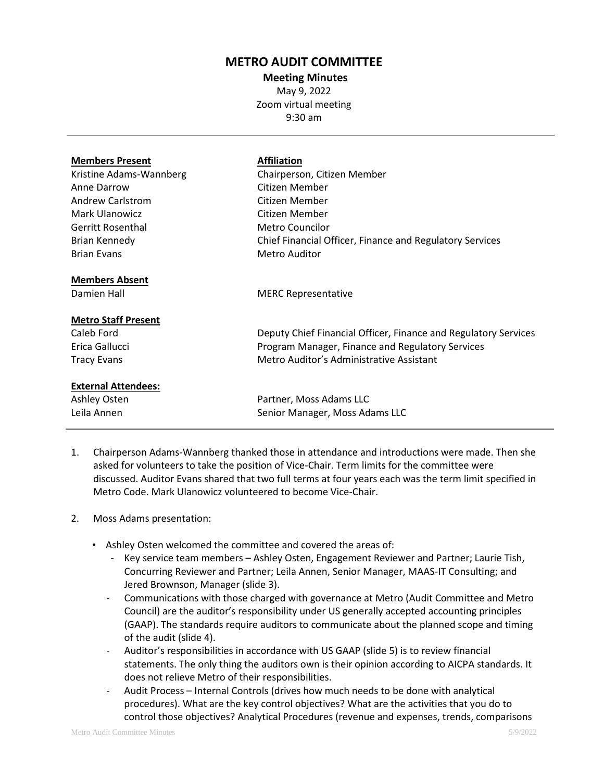## **METRO AUDIT COMMITTEE**

**Meeting Minutes** May 9, 2022 Zoom virtual meeting 9:30 am

| <b>Affiliation</b><br>Chairperson, Citizen Member<br>Citizen Member<br>Citizen Member<br>Citizen Member<br>Metro Councilor<br>Chief Financial Officer, Finance and Regulatory Services |
|----------------------------------------------------------------------------------------------------------------------------------------------------------------------------------------|
| Metro Auditor                                                                                                                                                                          |
| <b>MERC Representative</b>                                                                                                                                                             |
| Deputy Chief Financial Officer, Finance and Regulatory Services<br>Program Manager, Finance and Regulatory Services<br>Metro Auditor's Administrative Assistant                        |
|                                                                                                                                                                                        |
| Partner, Moss Adams LLC<br>Senior Manager, Moss Adams LLC                                                                                                                              |
|                                                                                                                                                                                        |

- 1. Chairperson Adams-Wannberg thanked those in attendance and introductions were made. Then she asked for volunteers to take the position of Vice-Chair. Term limits for the committee were discussed. Auditor Evans shared that two full terms at four years each was the term limit specified in Metro Code. Mark Ulanowicz volunteered to become Vice-Chair.
- 2. Moss Adams presentation:
	- Ashley Osten welcomed the committee and covered the areas of:
		- Key service team members Ashley Osten, Engagement Reviewer and Partner; Laurie Tish, Concurring Reviewer and Partner; Leila Annen, Senior Manager, MAAS-IT Consulting; and Jered Brownson, Manager (slide 3).
		- Communications with those charged with governance at Metro (Audit Committee and Metro Council) are the auditor's responsibility under US generally accepted accounting principles (GAAP). The standards require auditors to communicate about the planned scope and timing of the audit (slide 4).
		- Auditor's responsibilities in accordance with US GAAP (slide 5) is to review financial statements. The only thing the auditors own is their opinion according to AICPA standards. It does not relieve Metro of their responsibilities.
		- Audit Process Internal Controls (drives how much needs to be done with analytical procedures). What are the key control objectives? What are the activities that you do to control those objectives? Analytical Procedures (revenue and expenses, trends, comparisons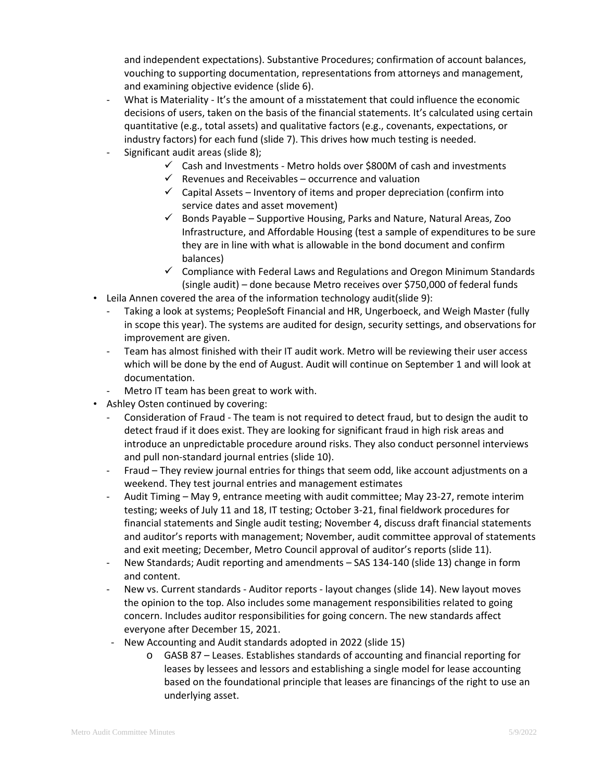and independent expectations). Substantive Procedures; confirmation of account balances, vouching to supporting documentation, representations from attorneys and management, and examining objective evidence (slide 6).

- What is Materiality It's the amount of a misstatement that could influence the economic decisions of users, taken on the basis of the financial statements. It's calculated using certain quantitative (e.g., total assets) and qualitative factors (e.g., covenants, expectations, or industry factors) for each fund (slide 7). This drives how much testing is needed.
- Significant audit areas (slide 8);
	- $\checkmark$  Cash and Investments Metro holds over \$800M of cash and investments
	- $\checkmark$  Revenues and Receivables occurrence and valuation
	- $\checkmark$  Capital Assets Inventory of items and proper depreciation (confirm into service dates and asset movement)
	- $\checkmark$  Bonds Payable Supportive Housing, Parks and Nature, Natural Areas, Zoo Infrastructure, and Affordable Housing (test a sample of expenditures to be sure they are in line with what is allowable in the bond document and confirm balances)
	- $\checkmark$  Compliance with Federal Laws and Regulations and Oregon Minimum Standards (single audit) – done because Metro receives over \$750,000 of federal funds
- Leila Annen covered the area of the information technology audit(slide 9):
	- Taking a look at systems; PeopleSoft Financial and HR, Ungerboeck, and Weigh Master (fully in scope this year). The systems are audited for design, security settings, and observations for improvement are given.
	- Team has almost finished with their IT audit work. Metro will be reviewing their user access which will be done by the end of August. Audit will continue on September 1 and will look at documentation.
	- Metro IT team has been great to work with.
- Ashley Osten continued by covering:
	- Consideration of Fraud The team is not required to detect fraud, but to design the audit to detect fraud if it does exist. They are looking for significant fraud in high risk areas and introduce an unpredictable procedure around risks. They also conduct personnel interviews and pull non-standard journal entries (slide 10).
	- Fraud They review journal entries for things that seem odd, like account adjustments on a weekend. They test journal entries and management estimates
	- Audit Timing May 9, entrance meeting with audit committee; May 23-27, remote interim testing; weeks of July 11 and 18, IT testing; October 3-21, final fieldwork procedures for financial statements and Single audit testing; November 4, discuss draft financial statements and auditor's reports with management; November, audit committee approval of statements and exit meeting; December, Metro Council approval of auditor's reports (slide 11).
	- New Standards; Audit reporting and amendments SAS 134-140 (slide 13) change in form and content.
	- New vs. Current standards Auditor reports layout changes (slide 14). New layout moves the opinion to the top. Also includes some management responsibilities related to going concern. Includes auditor responsibilities for going concern. The new standards affect everyone after December 15, 2021.
	- New Accounting and Audit standards adopted in 2022 (slide 15)
		- o GASB 87 Leases. Establishes standards of accounting and financial reporting for leases by lessees and lessors and establishing a single model for lease accounting based on the foundational principle that leases are financings of the right to use an underlying asset.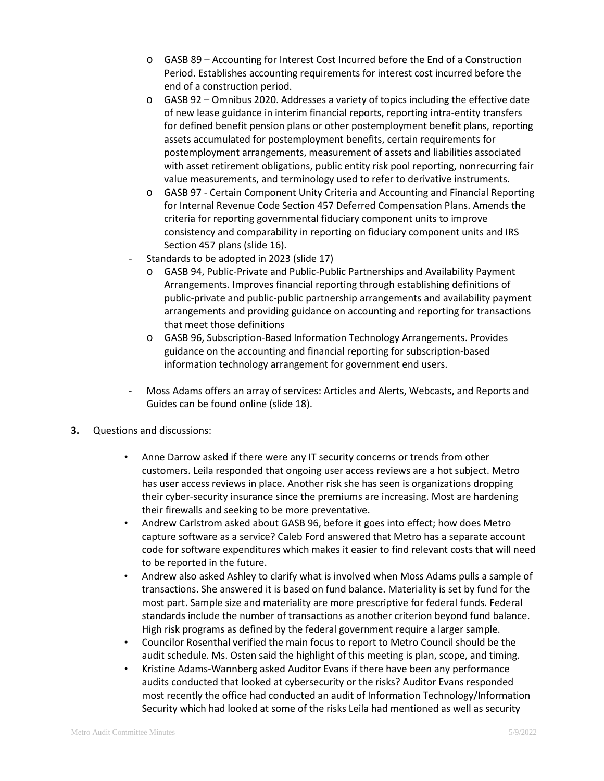- o GASB 89 Accounting for Interest Cost Incurred before the End of a Construction Period. Establishes accounting requirements for interest cost incurred before the end of a construction period.
- o GASB 92 Omnibus 2020. Addresses a variety of topics including the effective date of new lease guidance in interim financial reports, reporting intra-entity transfers for defined benefit pension plans or other postemployment benefit plans, reporting assets accumulated for postemployment benefits, certain requirements for postemployment arrangements, measurement of assets and liabilities associated with asset retirement obligations, public entity risk pool reporting, nonrecurring fair value measurements, and terminology used to refer to derivative instruments.
- o GASB 97 Certain Component Unity Criteria and Accounting and Financial Reporting for Internal Revenue Code Section 457 Deferred Compensation Plans. Amends the criteria for reporting governmental fiduciary component units to improve consistency and comparability in reporting on fiduciary component units and IRS Section 457 plans (slide 16).
- Standards to be adopted in 2023 (slide 17)
	- o GASB 94, Public-Private and Public-Public Partnerships and Availability Payment Arrangements. Improves financial reporting through establishing definitions of public-private and public-public partnership arrangements and availability payment arrangements and providing guidance on accounting and reporting for transactions that meet those definitions
	- o GASB 96, Subscription-Based Information Technology Arrangements. Provides guidance on the accounting and financial reporting for subscription-based information technology arrangement for government end users.
- Moss Adams offers an array of services: Articles and Alerts, Webcasts, and Reports and Guides can be found online (slide 18).
- **3.** Questions and discussions:
	- Anne Darrow asked if there were any IT security concerns or trends from other customers. Leila responded that ongoing user access reviews are a hot subject. Metro has user access reviews in place. Another risk she has seen is organizations dropping their cyber-security insurance since the premiums are increasing. Most are hardening their firewalls and seeking to be more preventative.
	- Andrew Carlstrom asked about GASB 96, before it goes into effect; how does Metro capture software as a service? Caleb Ford answered that Metro has a separate account code for software expenditures which makes it easier to find relevant costs that will need to be reported in the future.
	- Andrew also asked Ashley to clarify what is involved when Moss Adams pulls a sample of transactions. She answered it is based on fund balance. Materiality is set by fund for the most part. Sample size and materiality are more prescriptive for federal funds. Federal standards include the number of transactions as another criterion beyond fund balance. High risk programs as defined by the federal government require a larger sample.
	- Councilor Rosenthal verified the main focus to report to Metro Council should be the audit schedule. Ms. Osten said the highlight of this meeting is plan, scope, and timing.
	- Kristine Adams-Wannberg asked Auditor Evans if there have been any performance audits conducted that looked at cybersecurity or the risks? Auditor Evans responded most recently the office had conducted an audit of Information Technology/Information Security which had looked at some of the risks Leila had mentioned as well as security